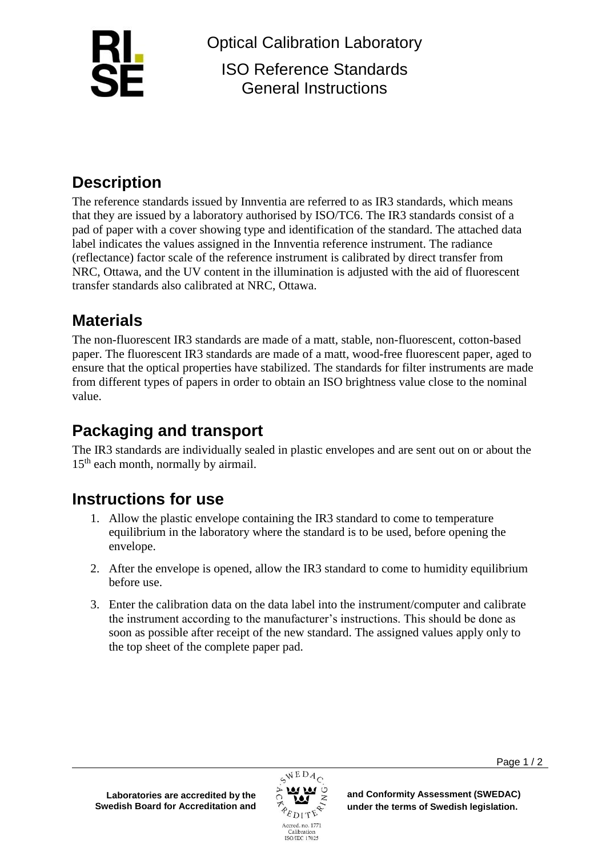

Optical Calibration Laboratory ISO Reference Standards General Instructions

# **Description**

The reference standards issued by Innventia are referred to as IR3 standards, which means that they are issued by a laboratory authorised by ISO/TC6. The IR3 standards consist of a pad of paper with a cover showing type and identification of the standard. The attached data label indicates the values assigned in the Innventia reference instrument. The radiance (reflectance) factor scale of the reference instrument is calibrated by direct transfer from NRC, Ottawa, and the UV content in the illumination is adjusted with the aid of fluorescent transfer standards also calibrated at NRC, Ottawa.

# **Materials**

The non-fluorescent IR3 standards are made of a matt, stable, non-fluorescent, cotton-based paper. The fluorescent IR3 standards are made of a matt, wood-free fluorescent paper, aged to ensure that the optical properties have stabilized. The standards for filter instruments are made from different types of papers in order to obtain an ISO brightness value close to the nominal value.

## **Packaging and transport**

The IR3 standards are individually sealed in plastic envelopes and are sent out on or about the  $15<sup>th</sup>$  each month, normally by airmail.

### **Instructions for use**

- 1. Allow the plastic envelope containing the IR3 standard to come to temperature equilibrium in the laboratory where the standard is to be used, before opening the envelope.
- 2. After the envelope is opened, allow the IR3 standard to come to humidity equilibrium before use.
- 3. Enter the calibration data on the data label into the instrument/computer and calibrate the instrument according to the manufacturer's instructions. This should be done as soon as possible after receipt of the new standard. The assigned values apply only to the top sheet of the complete paper pad.



**and Conformity Assessment (SWEDAC) under the terms of Swedish legislation.**